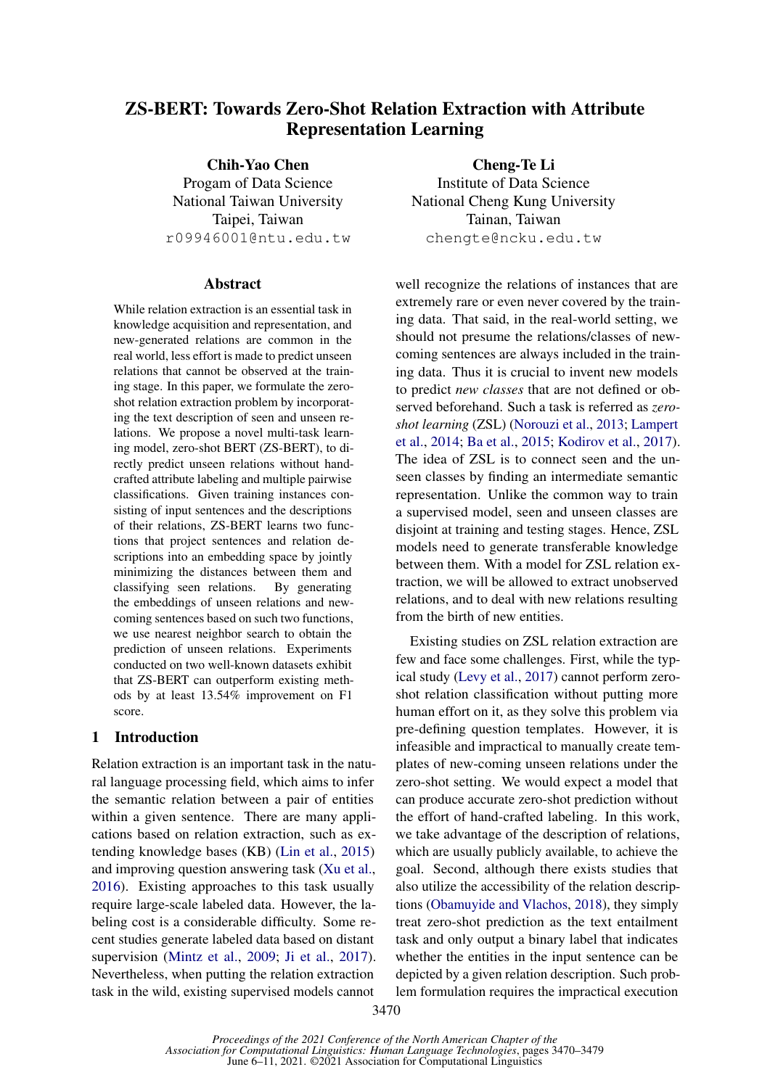# ZS-BERT: Towards Zero-Shot Relation Extraction with Attribute Representation Learning

Chih-Yao Chen Progam of Data Science National Taiwan University Taipei, Taiwan r09946001@ntu.edu.tw

### **Abstract**

While relation extraction is an essential task in knowledge acquisition and representation, and new-generated relations are common in the real world, less effort is made to predict unseen relations that cannot be observed at the training stage. In this paper, we formulate the zeroshot relation extraction problem by incorporating the text description of seen and unseen relations. We propose a novel multi-task learning model, zero-shot BERT (ZS-BERT), to directly predict unseen relations without handcrafted attribute labeling and multiple pairwise classifications. Given training instances consisting of input sentences and the descriptions of their relations, ZS-BERT learns two functions that project sentences and relation descriptions into an embedding space by jointly minimizing the distances between them and classifying seen relations. By generating the embeddings of unseen relations and newcoming sentences based on such two functions, we use nearest neighbor search to obtain the prediction of unseen relations. Experiments conducted on two well-known datasets exhibit that ZS-BERT can outperform existing methods by at least 13.54% improvement on F1 score.

### 1 Introduction

Relation extraction is an important task in the natural language processing field, which aims to infer the semantic relation between a pair of entities within a given sentence. There are many applications based on relation extraction, such as extending knowledge bases (KB) [\(Lin et al.,](#page-9-0) [2015\)](#page-9-0) and improving question answering task [\(Xu et al.,](#page-9-1) [2016\)](#page-9-1). Existing approaches to this task usually require large-scale labeled data. However, the labeling cost is a considerable difficulty. Some recent studies generate labeled data based on distant supervision [\(Mintz et al.,](#page-9-2) [2009;](#page-9-2) [Ji et al.,](#page-8-0) [2017\)](#page-8-0). Nevertheless, when putting the relation extraction task in the wild, existing supervised models cannot

Cheng-Te Li Institute of Data Science National Cheng Kung University Tainan, Taiwan chengte@ncku.edu.tw

well recognize the relations of instances that are extremely rare or even never covered by the training data. That said, in the real-world setting, we should not presume the relations/classes of newcoming sentences are always included in the training data. Thus it is crucial to invent new models to predict *new classes* that are not defined or observed beforehand. Such a task is referred as *zeroshot learning* (ZSL) [\(Norouzi et al.,](#page-9-3) [2013;](#page-9-3) [Lampert](#page-9-4) [et al.,](#page-9-4) [2014;](#page-9-4) [Ba et al.,](#page-8-1) [2015;](#page-8-1) [Kodirov et al.,](#page-8-2) [2017\)](#page-8-2). The idea of ZSL is to connect seen and the unseen classes by finding an intermediate semantic representation. Unlike the common way to train a supervised model, seen and unseen classes are disjoint at training and testing stages. Hence, ZSL models need to generate transferable knowledge between them. With a model for ZSL relation extraction, we will be allowed to extract unobserved relations, and to deal with new relations resulting from the birth of new entities.

Existing studies on ZSL relation extraction are few and face some challenges. First, while the typical study [\(Levy et al.,](#page-9-5) [2017\)](#page-9-5) cannot perform zeroshot relation classification without putting more human effort on it, as they solve this problem via pre-defining question templates. However, it is infeasible and impractical to manually create templates of new-coming unseen relations under the zero-shot setting. We would expect a model that can produce accurate zero-shot prediction without the effort of hand-crafted labeling. In this work, we take advantage of the description of relations, which are usually publicly available, to achieve the goal. Second, although there exists studies that also utilize the accessibility of the relation descriptions [\(Obamuyide and Vlachos,](#page-9-6) [2018\)](#page-9-6), they simply treat zero-shot prediction as the text entailment task and only output a binary label that indicates whether the entities in the input sentence can be depicted by a given relation description. Such problem formulation requires the impractical execution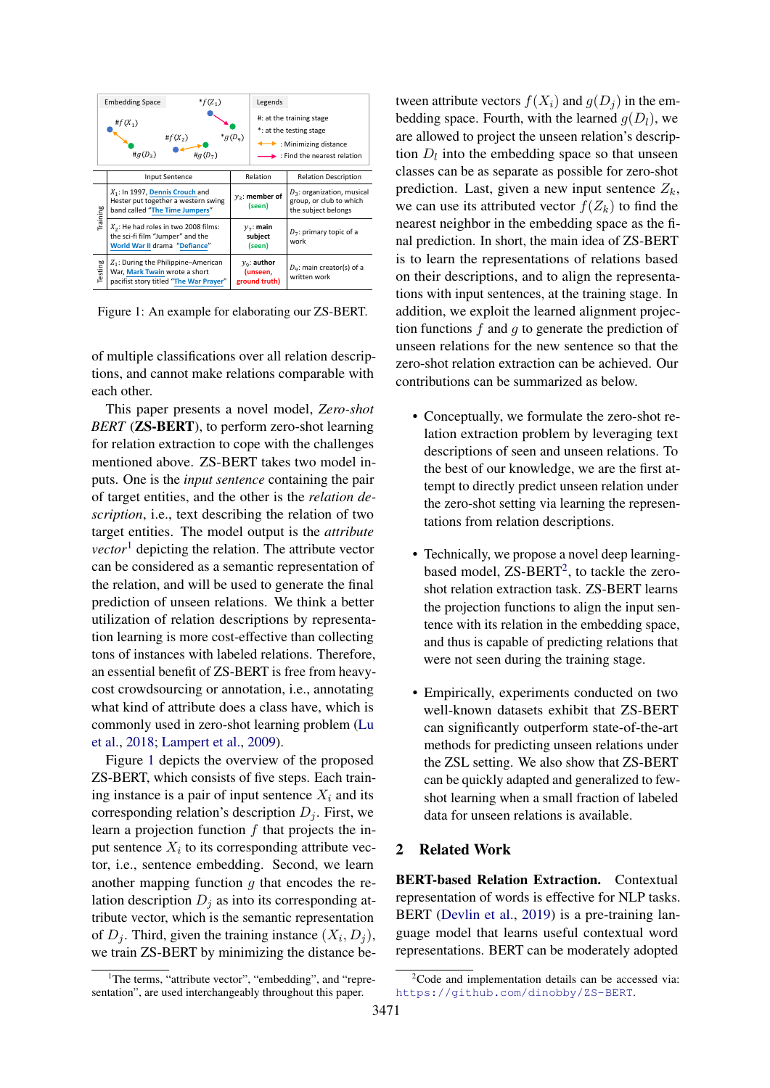<span id="page-1-1"></span>

Figure 1: An example for elaborating our ZS-BERT.

of multiple classifications over all relation descriptions, and cannot make relations comparable with each other.

This paper presents a novel model, *Zero-shot BERT* (**ZS-BERT**), to perform zero-shot learning for relation extraction to cope with the challenges mentioned above. ZS-BERT takes two model inputs. One is the *input sentence* containing the pair of target entities, and the other is the *relation description*, i.e., text describing the relation of two target entities. The model output is the *attribute vector*<sup>[1](#page-1-0)</sup> depicting the relation. The attribute vector can be considered as a semantic representation of the relation, and will be used to generate the final prediction of unseen relations. We think a better utilization of relation descriptions by representation learning is more cost-effective than collecting tons of instances with labeled relations. Therefore, an essential benefit of ZS-BERT is free from heavycost crowdsourcing or annotation, i.e., annotating what kind of attribute does a class have, which is commonly used in zero-shot learning problem [\(Lu](#page-9-7) [et al.,](#page-9-7) [2018;](#page-9-7) [Lampert et al.,](#page-8-3) [2009\)](#page-8-3).

Figure [1](#page-1-1) depicts the overview of the proposed ZS-BERT, which consists of five steps. Each training instance is a pair of input sentence  $X_i$  and its corresponding relation's description  $D_i$ . First, we learn a projection function  $f$  that projects the input sentence  $X_i$  to its corresponding attribute vector, i.e., sentence embedding. Second, we learn another mapping function  $q$  that encodes the relation description  $D_i$  as into its corresponding attribute vector, which is the semantic representation of  $D_j$ . Third, given the training instance  $(X_i, D_j)$ , we train ZS-BERT by minimizing the distance between attribute vectors  $f(X_i)$  and  $g(D_i)$  in the embedding space. Fourth, with the learned  $g(D_l)$ , we are allowed to project the unseen relation's description  $D_l$  into the embedding space so that unseen classes can be as separate as possible for zero-shot prediction. Last, given a new input sentence  $Z_k$ , we can use its attributed vector  $f(Z_k)$  to find the nearest neighbor in the embedding space as the final prediction. In short, the main idea of ZS-BERT is to learn the representations of relations based on their descriptions, and to align the representations with input sentences, at the training stage. In addition, we exploit the learned alignment projection functions  $f$  and  $g$  to generate the prediction of unseen relations for the new sentence so that the zero-shot relation extraction can be achieved. Our contributions can be summarized as below.

- Conceptually, we formulate the zero-shot relation extraction problem by leveraging text descriptions of seen and unseen relations. To the best of our knowledge, we are the first attempt to directly predict unseen relation under the zero-shot setting via learning the representations from relation descriptions.
- Technically, we propose a novel deep learningbased model,  $ZS-BERT<sup>2</sup>$  $ZS-BERT<sup>2</sup>$  $ZS-BERT<sup>2</sup>$ , to tackle the zeroshot relation extraction task. ZS-BERT learns the projection functions to align the input sentence with its relation in the embedding space, and thus is capable of predicting relations that were not seen during the training stage.
- Empirically, experiments conducted on two well-known datasets exhibit that ZS-BERT can significantly outperform state-of-the-art methods for predicting unseen relations under the ZSL setting. We also show that ZS-BERT can be quickly adapted and generalized to fewshot learning when a small fraction of labeled data for unseen relations is available.

# 2 Related Work

BERT-based Relation Extraction. Contextual representation of words is effective for NLP tasks. BERT [\(Devlin et al.,](#page-8-4) [2019\)](#page-8-4) is a pre-training language model that learns useful contextual word representations. BERT can be moderately adopted

<span id="page-1-0"></span><sup>&</sup>lt;sup>1</sup>The terms, "attribute vector", "embedding", and "representation", are used interchangeably throughout this paper.

<span id="page-1-2"></span> $2^2$ Code and implementation details can be accessed via: <https://github.com/dinobby/ZS-BERT>.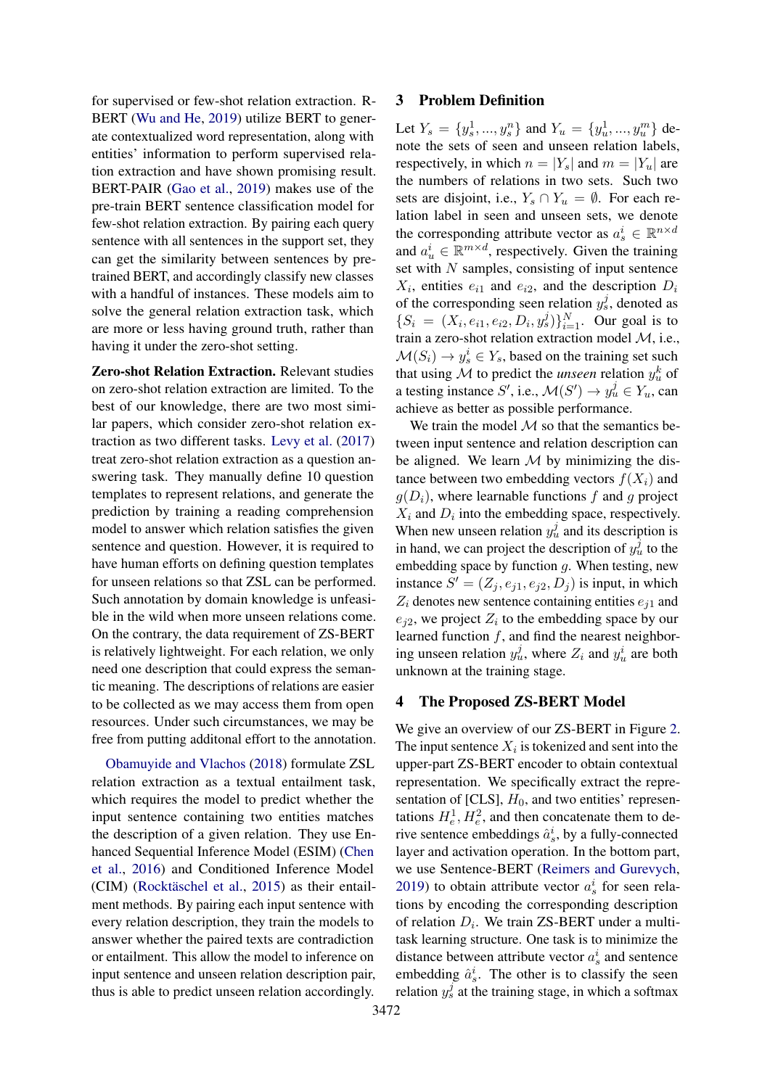for supervised or few-shot relation extraction. R-BERT [\(Wu and He,](#page-9-8) [2019\)](#page-9-8) utilize BERT to generate contextualized word representation, along with entities' information to perform supervised relation extraction and have shown promising result. BERT-PAIR [\(Gao et al.,](#page-8-5) [2019\)](#page-8-5) makes use of the pre-train BERT sentence classification model for few-shot relation extraction. By pairing each query sentence with all sentences in the support set, they can get the similarity between sentences by pretrained BERT, and accordingly classify new classes with a handful of instances. These models aim to solve the general relation extraction task, which are more or less having ground truth, rather than having it under the zero-shot setting.

Zero-shot Relation Extraction. Relevant studies on zero-shot relation extraction are limited. To the best of our knowledge, there are two most similar papers, which consider zero-shot relation extraction as two different tasks. [Levy et al.](#page-9-5) [\(2017\)](#page-9-5) treat zero-shot relation extraction as a question answering task. They manually define 10 question templates to represent relations, and generate the prediction by training a reading comprehension model to answer which relation satisfies the given sentence and question. However, it is required to have human efforts on defining question templates for unseen relations so that ZSL can be performed. Such annotation by domain knowledge is unfeasible in the wild when more unseen relations come. On the contrary, the data requirement of ZS-BERT is relatively lightweight. For each relation, we only need one description that could express the semantic meaning. The descriptions of relations are easier to be collected as we may access them from open resources. Under such circumstances, we may be free from putting additonal effort to the annotation.

[Obamuyide and Vlachos](#page-9-6) [\(2018\)](#page-9-6) formulate ZSL relation extraction as a textual entailment task, which requires the model to predict whether the input sentence containing two entities matches the description of a given relation. They use Enhanced Sequential Inference Model (ESIM) [\(Chen](#page-8-6) [et al.,](#page-8-6) [2016\)](#page-8-6) and Conditioned Inference Model (CIM) [\(Rocktäschel et al.,](#page-9-9) [2015\)](#page-9-9) as their entailment methods. By pairing each input sentence with every relation description, they train the models to answer whether the paired texts are contradiction or entailment. This allow the model to inference on input sentence and unseen relation description pair, thus is able to predict unseen relation accordingly.

## 3 Problem Definition

Let  $Y_s = \{y_s^1, ..., y_s^n\}$  and  $Y_u = \{y_u^1, ..., y_u^m\}$  denote the sets of seen and unseen relation labels, respectively, in which  $n = |Y_s|$  and  $m = |Y_u|$  are the numbers of relations in two sets. Such two sets are disjoint, i.e.,  $Y_s \cap Y_u = \emptyset$ . For each relation label in seen and unseen sets, we denote the corresponding attribute vector as  $a_s^i \in \mathbb{R}^{n \times d}$ and  $a_u^i \in \mathbb{R}^{m \times d}$ , respectively. Given the training set with  $N$  samples, consisting of input sentence  $X_i$ , entities  $e_{i1}$  and  $e_{i2}$ , and the description  $D_i$ of the corresponding seen relation  $y_s^j$ , denoted as  $\{S_i = (X_i, e_{i1}, e_{i2}, D_i, y_s^j)\}_{i=1}^N$ . Our goal is to train a zero-shot relation extraction model M, i.e.,  $\mathcal{M}(S_i) \to y_s^i \in Y_s$ , based on the training set such that using  $M$  to predict the *unseen* relation  $y_u^k$  of a testing instance S', i.e.,  $\mathcal{M}(S') \to y_u^j \in Y_u$ , can achieve as better as possible performance.

We train the model  $M$  so that the semantics between input sentence and relation description can be aligned. We learn  $M$  by minimizing the distance between two embedding vectors  $f(X_i)$  and  $g(D_i)$ , where learnable functions f and g project  $X_i$  and  $D_i$  into the embedding space, respectively. When new unseen relation  $y_u^j$  and its description is in hand, we can project the description of  $y^{\hat{j}}_u$  to the embedding space by function  $g$ . When testing, new instance  $S' = (Z_j, e_{j1}, e_{j2}, D_j)$  is input, in which  $Z_i$  denotes new sentence containing entities  $e_{i1}$  and  $e_{j2}$ , we project  $Z_i$  to the embedding space by our learned function  $f$ , and find the nearest neighboring unseen relation  $y_u^j$ , where  $Z_i$  and  $y_u^i$  are both unknown at the training stage.

## 4 The Proposed ZS-BERT Model

We give an overview of our ZS-BERT in Figure [2.](#page-3-0) The input sentence  $X_i$  is tokenized and sent into the upper-part ZS-BERT encoder to obtain contextual representation. We specifically extract the representation of [CLS],  $H_0$ , and two entities' representations  $H_e^1, H_e^2$ , and then concatenate them to derive sentence embeddings  $\hat{a}_s^i$ , by a fully-connected layer and activation operation. In the bottom part, we use Sentence-BERT [\(Reimers and Gurevych,](#page-9-10) [2019\)](#page-9-10) to obtain attribute vector  $a_s^i$  for seen relations by encoding the corresponding description of relation  $D_i$ . We train ZS-BERT under a multitask learning structure. One task is to minimize the distance between attribute vector  $a_s^i$  and sentence embedding  $\hat{a}_s^i$ . The other is to classify the seen relation  $y_s^j$  at the training stage, in which a softmax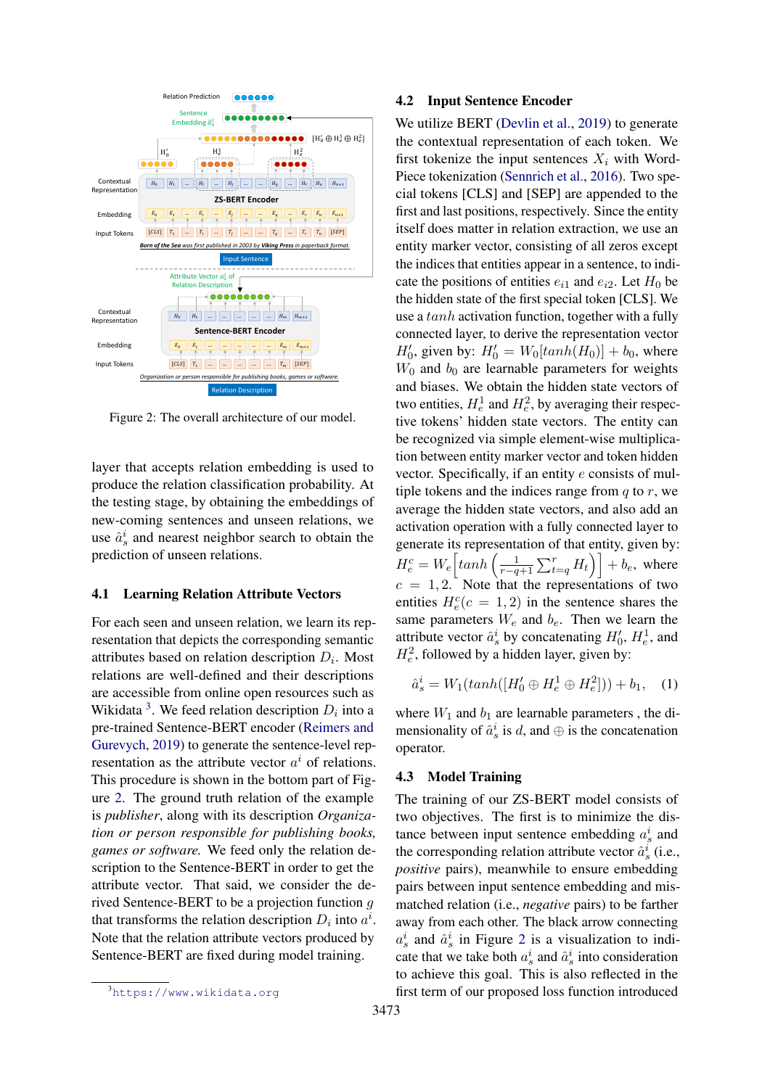<span id="page-3-0"></span>

Figure 2: The overall architecture of our model.

layer that accepts relation embedding is used to produce the relation classification probability. At the testing stage, by obtaining the embeddings of new-coming sentences and unseen relations, we use  $\hat{a}_s^i$  and nearest neighbor search to obtain the prediction of unseen relations.

#### 4.1 Learning Relation Attribute Vectors

For each seen and unseen relation, we learn its representation that depicts the corresponding semantic attributes based on relation description  $D_i$ . Most relations are well-defined and their descriptions are accessible from online open resources such as Wikidata<sup>[3](#page-3-1)</sup>. We feed relation description  $D_i$  into a pre-trained Sentence-BERT encoder [\(Reimers and](#page-9-10) [Gurevych,](#page-9-10) [2019\)](#page-9-10) to generate the sentence-level representation as the attribute vector  $a^i$  of relations. This procedure is shown in the bottom part of Figure [2.](#page-3-0) The ground truth relation of the example is *publisher*, along with its description *Organization or person responsible for publishing books, games or software.* We feed only the relation description to the Sentence-BERT in order to get the attribute vector. That said, we consider the derived Sentence-BERT to be a projection function g that transforms the relation description  $D_i$  into  $a^i$ . Note that the relation attribute vectors produced by Sentence-BERT are fixed during model training.

#### 4.2 Input Sentence Encoder

We utilize BERT [\(Devlin et al.,](#page-8-4) [2019\)](#page-8-4) to generate the contextual representation of each token. We first tokenize the input sentences  $X_i$  with Word-Piece tokenization [\(Sennrich et al.,](#page-9-11) [2016\)](#page-9-11). Two special tokens [CLS] and [SEP] are appended to the first and last positions, respectively. Since the entity itself does matter in relation extraction, we use an entity marker vector, consisting of all zeros except the indices that entities appear in a sentence, to indicate the positions of entities  $e_{i1}$  and  $e_{i2}$ . Let  $H_0$  be the hidden state of the first special token [CLS]. We use a tanh activation function, together with a fully connected layer, to derive the representation vector  $H'_0$ , given by:  $H'_0 = W_0[tanh(H_0)] + b_0$ , where  $W_0$  and  $b_0$  are learnable parameters for weights and biases. We obtain the hidden state vectors of two entities,  $H_e^1$  and  $H_e^2$ , by averaging their respective tokens' hidden state vectors. The entity can be recognized via simple element-wise multiplication between entity marker vector and token hidden vector. Specifically, if an entity e consists of multiple tokens and the indices range from  $q$  to  $r$ , we average the hidden state vectors, and also add an activation operation with a fully connected layer to generate its representation of that entity, given by:  $H_e^c = W_e \left[ \tanh \left( \frac{1}{r-q+1} \sum_{t=q}^r H_t \right) \right] + b_e$ , where  $c = 1, 2$ . Note that the representations of two entities  $H_e^c(c = 1, 2)$  in the sentence shares the same parameters  $W_e$  and  $b_e$ . Then we learn the attribute vector  $\hat{a}_s^i$  by concatenating  $H'_0$ ,  $H_e^1$ , and  $H_e^2$ , followed by a hidden layer, given by:

$$
\hat{a}_s^i = W_1(tanh([H'_0 \oplus H_e^1 \oplus H_e^2])) + b_1, \quad (1)
$$

where  $W_1$  and  $b_1$  are learnable parameters, the dimensionality of  $\hat{a}_s^i$  is d, and  $\oplus$  is the concatenation operator.

## 4.3 Model Training

The training of our ZS-BERT model consists of two objectives. The first is to minimize the distance between input sentence embedding  $a_s^i$  and the corresponding relation attribute vector  $\hat{a}_s^i$  (i.e., *positive* pairs), meanwhile to ensure embedding pairs between input sentence embedding and mismatched relation (i.e., *negative* pairs) to be farther away from each other. The black arrow connecting  $a_s^i$  and  $\hat{a}_s^i$  in Figure [2](#page-3-0) is a visualization to indicate that we take both  $a_s^i$  and  $\hat{a}_s^i$  into consideration to achieve this goal. This is also reflected in the first term of our proposed loss function introduced

<span id="page-3-1"></span><sup>3</sup><https://www.wikidata.org>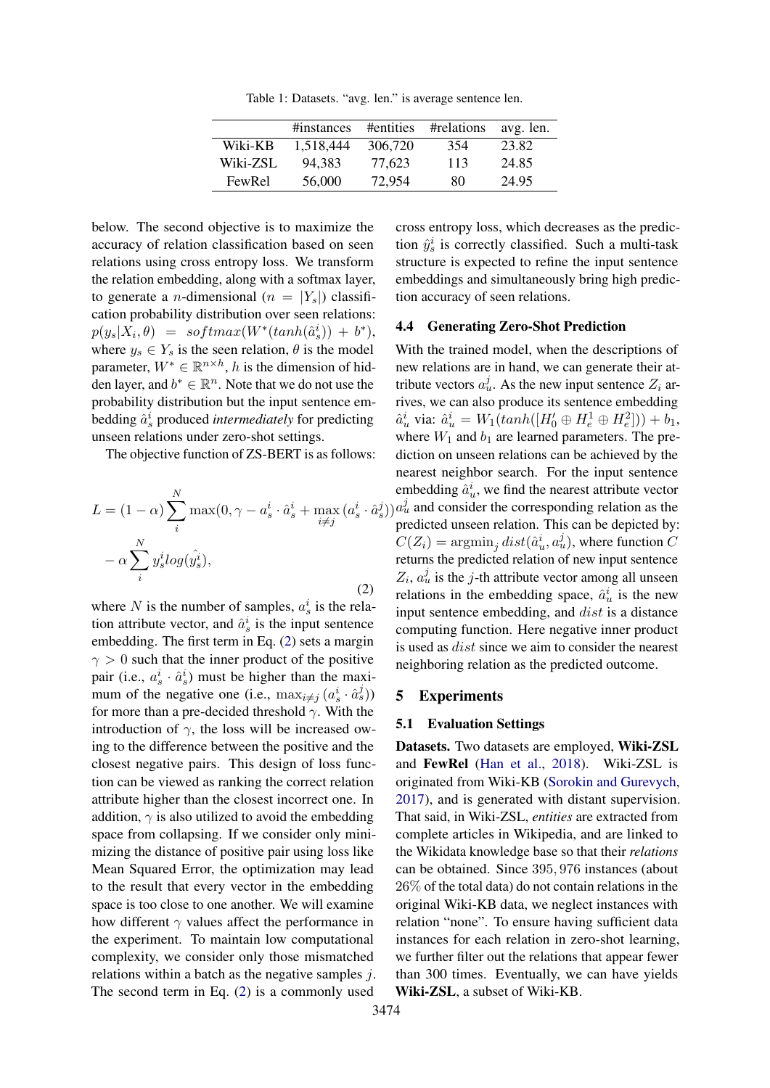Table 1: Datasets. "avg. len." is average sentence len.

<span id="page-4-1"></span>

|          | #instances | #entities | #relations | avg. len. |
|----------|------------|-----------|------------|-----------|
| Wiki-KB  | 1.518.444  | 306,720   | 354        | 23.82     |
| Wiki-ZSL | 94.383     | 77.623    | 113        | 24.85     |
| FewRel   | 56,000     | 72.954    | 80         | 24.95     |

below. The second objective is to maximize the accuracy of relation classification based on seen relations using cross entropy loss. We transform the relation embedding, along with a softmax layer, to generate a *n*-dimensional ( $n = |Y_s|$ ) classification probability distribution over seen relations:  $p(y_s|X_i, \theta) = softmax(W^*(tanh(\hat{a}_s^i)) + b^*),$ where  $y_s \in Y_s$  is the seen relation,  $\theta$  is the model parameter,  $W^* \in \mathbb{R}^{n \times h}$ , h is the dimension of hidden layer, and  $b^* \in \mathbb{R}^n$ . Note that we do not use the probability distribution but the input sentence embedding  $\hat{a}_s^i$  produced *intermediately* for predicting unseen relations under zero-shot settings.

<span id="page-4-0"></span>The objective function of ZS-BERT is as follows:

$$
L = (1 - \alpha) \sum_{i}^{N} \max(0, \gamma - a_s^i \cdot \hat{a}_s^i + \max_{i \neq j} (a_s^i \cdot \hat{a}_s^j)
$$

$$
- \alpha \sum_{i}^{N} y_s^i log(\hat{y}_s^i),
$$
(2)

where N is the number of samples,  $a_s^i$  is the relation attribute vector, and  $\hat{a}_s^i$  is the input sentence embedding. The first term in Eq. [\(2\)](#page-4-0) sets a margin  $\gamma > 0$  such that the inner product of the positive pair (i.e.,  $a_s^i \cdot \hat{a}_s^i$ ) must be higher than the maximum of the negative one (i.e.,  $\max_{i \neq j} (a_s^i \cdot \hat{a}_s^j)$ ) for more than a pre-decided threshold  $\gamma$ . With the introduction of  $\gamma$ , the loss will be increased owing to the difference between the positive and the closest negative pairs. This design of loss function can be viewed as ranking the correct relation attribute higher than the closest incorrect one. In addition,  $\gamma$  is also utilized to avoid the embedding space from collapsing. If we consider only minimizing the distance of positive pair using loss like Mean Squared Error, the optimization may lead to the result that every vector in the embedding space is too close to one another. We will examine how different  $\gamma$  values affect the performance in the experiment. To maintain low computational complexity, we consider only those mismatched relations within a batch as the negative samples  $i$ . The second term in Eq. [\(2\)](#page-4-0) is a commonly used

cross entropy loss, which decreases as the prediction  $\hat{y}_s^i$  is correctly classified. Such a multi-task structure is expected to refine the input sentence embeddings and simultaneously bring high prediction accuracy of seen relations.

## 4.4 Generating Zero-Shot Prediction

 $(p)$ ) $a_u^j$  and consider the corresponding relation as the With the trained model, when the descriptions of new relations are in hand, we can generate their attribute vectors  $a_u^j$ . As the new input sentence  $Z_i$  arrives, we can also produce its sentence embedding  $\hat{a}_u^i$  via:  $\hat{a}_u^i = W_1(tanh([H'_0 \oplus H_e^1 \oplus H_e^2])) + b_1$ , where  $W_1$  and  $b_1$  are learned parameters. The prediction on unseen relations can be achieved by the nearest neighbor search. For the input sentence embedding  $\hat{a}_u^i$ , we find the nearest attribute vector predicted unseen relation. This can be depicted by:  $C(Z_i) = \operatorname{argmin}_j dist(\hat{a}_u^i, a_u^j)$ , where function C returns the predicted relation of new input sentence  $Z_i$ ,  $a_u^j$  is the j-th attribute vector among all unseen relations in the embedding space,  $\hat{a}_u^i$  is the new input sentence embedding, and *dist* is a distance computing function. Here negative inner product is used as dist since we aim to consider the nearest neighboring relation as the predicted outcome.

#### 5 Experiments

#### 5.1 Evaluation Settings

Datasets. Two datasets are employed, Wiki-ZSL and FewRel [\(Han et al.,](#page-8-7) [2018\)](#page-8-7). Wiki-ZSL is originated from Wiki-KB [\(Sorokin and Gurevych,](#page-9-12) [2017\)](#page-9-12), and is generated with distant supervision. That said, in Wiki-ZSL, *entities* are extracted from complete articles in Wikipedia, and are linked to the Wikidata knowledge base so that their *relations* can be obtained. Since 395, 976 instances (about 26% of the total data) do not contain relations in the original Wiki-KB data, we neglect instances with relation "none". To ensure having sufficient data instances for each relation in zero-shot learning, we further filter out the relations that appear fewer than 300 times. Eventually, we can have yields Wiki-ZSL, a subset of Wiki-KB.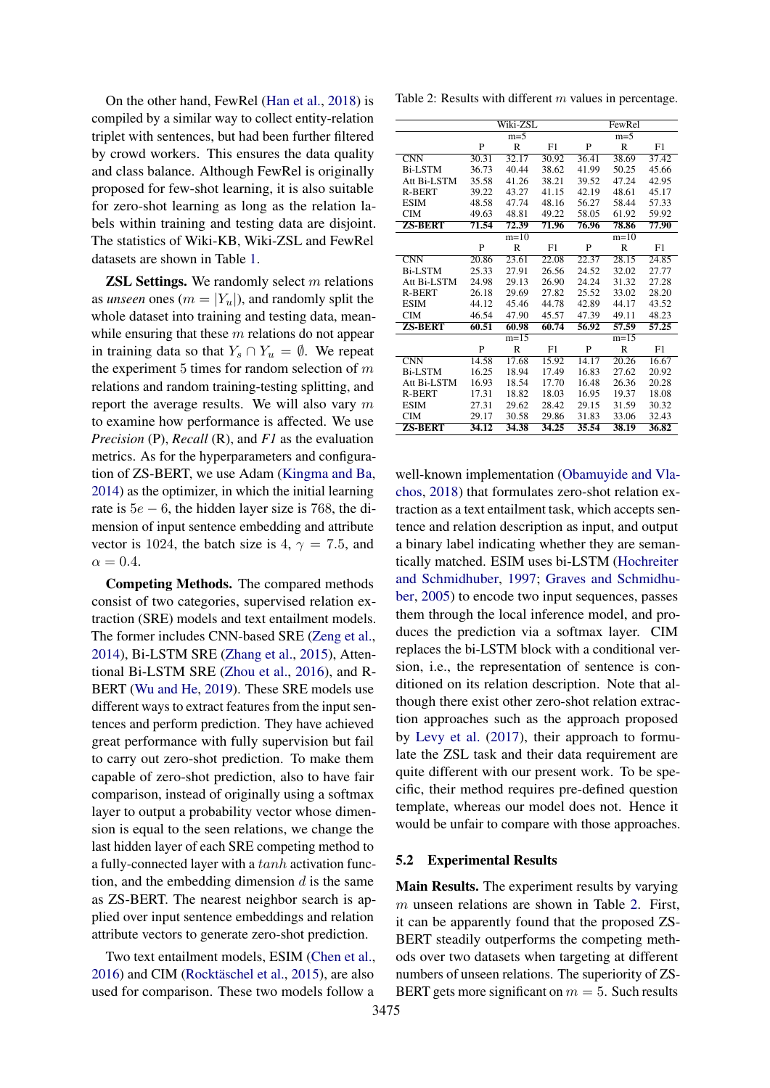On the other hand, FewRel [\(Han et al.,](#page-8-7) [2018\)](#page-8-7) is compiled by a similar way to collect entity-relation triplet with sentences, but had been further filtered by crowd workers. This ensures the data quality and class balance. Although FewRel is originally proposed for few-shot learning, it is also suitable for zero-shot learning as long as the relation labels within training and testing data are disjoint. The statistics of Wiki-KB, Wiki-ZSL and FewRel datasets are shown in Table [1.](#page-4-1)

**ZSL Settings.** We randomly select  $m$  relations as *unseen* ones ( $m = |Y_u|$ ), and randomly split the whole dataset into training and testing data, meanwhile ensuring that these  $m$  relations do not appear in training data so that  $Y_s \cap Y_u = \emptyset$ . We repeat the experiment 5 times for random selection of  $m$ relations and random training-testing splitting, and report the average results. We will also vary  $m$ to examine how performance is affected. We use *Precision* (P), *Recall* (R), and *F1* as the evaluation metrics. As for the hyperparameters and configuration of ZS-BERT, we use Adam [\(Kingma and Ba,](#page-8-8) [2014\)](#page-8-8) as the optimizer, in which the initial learning rate is  $5e - 6$ , the hidden layer size is 768, the dimension of input sentence embedding and attribute vector is 1024, the batch size is 4,  $\gamma = 7.5$ , and  $\alpha = 0.4$ .

Competing Methods. The compared methods consist of two categories, supervised relation extraction (SRE) models and text entailment models. The former includes CNN-based SRE [\(Zeng et al.,](#page-9-13) [2014\)](#page-9-13), Bi-LSTM SRE [\(Zhang et al.,](#page-9-14) [2015\)](#page-9-14), Attentional Bi-LSTM SRE [\(Zhou et al.,](#page-9-15) [2016\)](#page-9-15), and R-BERT [\(Wu and He,](#page-9-8) [2019\)](#page-9-8). These SRE models use different ways to extract features from the input sentences and perform prediction. They have achieved great performance with fully supervision but fail to carry out zero-shot prediction. To make them capable of zero-shot prediction, also to have fair comparison, instead of originally using a softmax layer to output a probability vector whose dimension is equal to the seen relations, we change the last hidden layer of each SRE competing method to a fully-connected layer with a tanh activation function, and the embedding dimension  $d$  is the same as ZS-BERT. The nearest neighbor search is applied over input sentence embeddings and relation attribute vectors to generate zero-shot prediction.

Two text entailment models, ESIM [\(Chen et al.,](#page-8-6) [2016\)](#page-8-6) and CIM [\(Rocktäschel et al.,](#page-9-9) [2015\)](#page-9-9), are also used for comparison. These two models follow a

<span id="page-5-0"></span>Table 2: Results with different  $m$  values in percentage.

|                         | Wiki-ZSL         |              |       | FewRel       |              |       |
|-------------------------|------------------|--------------|-------|--------------|--------------|-------|
|                         | $m=5$            |              |       | $m = 5$      |              |       |
|                         | $\mathbf{P}$     | $\mathbb{R}$ | F1    | $\mathbf{P}$ | $\mathsf{R}$ | F1    |
| $\overline{\text{CNN}}$ | 30.31            | 32.17        | 30.92 | 36.41        | 38.69        | 37.42 |
| <b>Bi-LSTM</b>          | 36.73            | 40.44        | 38.62 | 41.99        | 50.25        | 45.66 |
| Att Bi-LSTM             | 35.58            | 41.26        | 38.21 | 39.52        | 47.24        | 42.95 |
| <b>R-BERT</b>           | 39.22            | 43.27        | 41.15 | 42.19        | 48.61        | 45.17 |
| <b>ESIM</b>             | 48.58            | 47.74        | 48.16 | 56.27        | 58.44        | 57.33 |
| <b>CIM</b>              | 49.63            | 48.81        | 49.22 | 58.05        | 61.92        | 59.92 |
| <b>ZS-BERT</b>          | 71.54            | 72.39        | 71.96 | 76.96        | 78.86        | 77.90 |
|                         |                  | $m=10$       |       |              | $m=10$       |       |
|                         | P                | $\mathbb{R}$ | F1    | P            | $\mathbb{R}$ | F1    |
| $\overline{\text{CNN}}$ | 20.86            | 23.61        | 22.08 | 22.37        | 28.15        | 24.85 |
| <b>Bi-LSTM</b>          | 25.33            | 27.91        | 26.56 | 24.52        | 32.02        | 27.77 |
| Att Bi-LSTM             | 24.98            | 29.13        | 26.90 | 24.24        | 31.32        | 27.28 |
| <b>R-BERT</b>           | 26.18            | 29.69        | 27.82 | 25.52        | 33.02        | 28.20 |
| <b>ESIM</b>             | 44.12            | 45.46        | 44.78 | 42.89        | 44.17        | 43.52 |
| <b>CIM</b>              | 46.54            | 47.90        | 45.57 | 47.39        | 49.11        | 48.23 |
| <b>ZS-BERT</b>          | 60.51            | 60.98        | 60.74 | 56.92        | 57.59        | 57.25 |
|                         | $m=15$<br>$m=15$ |              |       |              |              |       |
|                         | P                | R            | F1    | P            | R            | F1    |
| $\overline{\text{CNN}}$ | 14.58            | 17.68        | 15.92 | 14.17        | 20.26        | 16.67 |
| <b>Bi-LSTM</b>          | 16.25            | 18.94        | 17.49 | 16.83        | 27.62        | 20.92 |
| Att Bi-LSTM             | 16.93            | 18.54        | 17.70 | 16.48        | 26.36        | 20.28 |
| <b>R-BERT</b>           | 17.31            | 18.82        | 18.03 | 16.95        | 19.37        | 18.08 |
| <b>ESIM</b>             | 27.31            | 29.62        | 28.42 | 29.15        | 31.59        | 30.32 |
| <b>CIM</b>              | 29.17            | 30.58        | 29.86 | 31.83        | 33.06        | 32.43 |
| <b>ZS-BERT</b>          | 34.12            | 34.38        | 34.25 | 35.54        | 38.19        | 36.82 |

well-known implementation [\(Obamuyide and Vla](#page-9-6)[chos,](#page-9-6) [2018\)](#page-9-6) that formulates zero-shot relation extraction as a text entailment task, which accepts sentence and relation description as input, and output a binary label indicating whether they are semantically matched. ESIM uses bi-LSTM [\(Hochreiter](#page-8-9) [and Schmidhuber,](#page-8-9) [1997;](#page-8-9) [Graves and Schmidhu](#page-8-10)[ber,](#page-8-10) [2005\)](#page-8-10) to encode two input sequences, passes them through the local inference model, and produces the prediction via a softmax layer. CIM replaces the bi-LSTM block with a conditional version, i.e., the representation of sentence is conditioned on its relation description. Note that although there exist other zero-shot relation extraction approaches such as the approach proposed by [Levy et al.](#page-9-5) [\(2017\)](#page-9-5), their approach to formulate the ZSL task and their data requirement are quite different with our present work. To be specific, their method requires pre-defined question template, whereas our model does not. Hence it would be unfair to compare with those approaches.

#### 5.2 Experimental Results

Main Results. The experiment results by varying m unseen relations are shown in Table [2.](#page-5-0) First, it can be apparently found that the proposed ZS-BERT steadily outperforms the competing methods over two datasets when targeting at different numbers of unseen relations. The superiority of ZS-BERT gets more significant on  $m = 5$ . Such results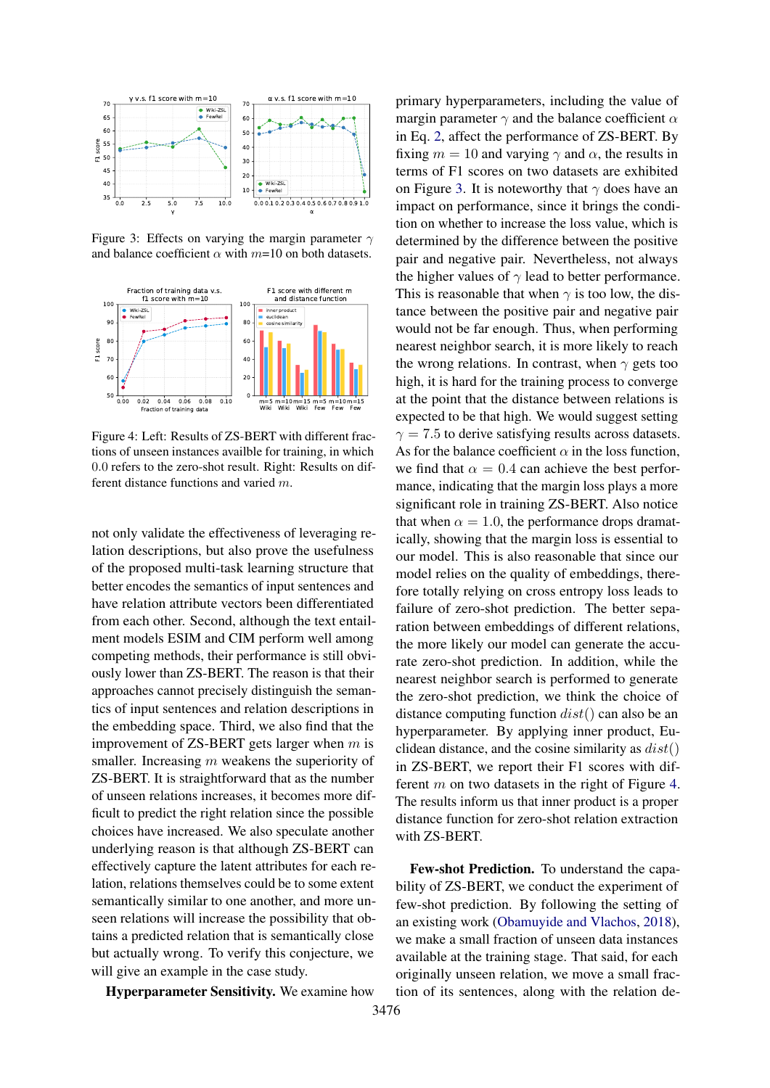<span id="page-6-0"></span>

Figure 3: Effects on varying the margin parameter  $\gamma$ and balance coefficient  $\alpha$  with  $m=10$  on both datasets.

<span id="page-6-1"></span>

Figure 4: Left: Results of ZS-BERT with different fractions of unseen instances availble for training, in which 0.0 refers to the zero-shot result. Right: Results on different distance functions and varied m.

not only validate the effectiveness of leveraging relation descriptions, but also prove the usefulness of the proposed multi-task learning structure that better encodes the semantics of input sentences and have relation attribute vectors been differentiated from each other. Second, although the text entailment models ESIM and CIM perform well among competing methods, their performance is still obviously lower than ZS-BERT. The reason is that their approaches cannot precisely distinguish the semantics of input sentences and relation descriptions in the embedding space. Third, we also find that the improvement of  $ZS$ -BERT gets larger when  $m$  is smaller. Increasing  $m$  weakens the superiority of ZS-BERT. It is straightforward that as the number of unseen relations increases, it becomes more difficult to predict the right relation since the possible choices have increased. We also speculate another underlying reason is that although ZS-BERT can effectively capture the latent attributes for each relation, relations themselves could be to some extent semantically similar to one another, and more unseen relations will increase the possibility that obtains a predicted relation that is semantically close but actually wrong. To verify this conjecture, we will give an example in the case study.

Hyperparameter Sensitivity. We examine how

primary hyperparameters, including the value of margin parameter  $\gamma$  and the balance coefficient  $\alpha$ in Eq. [2,](#page-4-0) affect the performance of ZS-BERT. By fixing  $m = 10$  and varying  $\gamma$  and  $\alpha$ , the results in terms of F1 scores on two datasets are exhibited on Figure [3.](#page-6-0) It is noteworthy that  $\gamma$  does have an impact on performance, since it brings the condition on whether to increase the loss value, which is determined by the difference between the positive pair and negative pair. Nevertheless, not always the higher values of  $\gamma$  lead to better performance. This is reasonable that when  $\gamma$  is too low, the distance between the positive pair and negative pair would not be far enough. Thus, when performing nearest neighbor search, it is more likely to reach the wrong relations. In contrast, when  $\gamma$  gets too high, it is hard for the training process to converge at the point that the distance between relations is expected to be that high. We would suggest setting  $\gamma = 7.5$  to derive satisfying results across datasets. As for the balance coefficient  $\alpha$  in the loss function, we find that  $\alpha = 0.4$  can achieve the best performance, indicating that the margin loss plays a more significant role in training ZS-BERT. Also notice that when  $\alpha = 1.0$ , the performance drops dramatically, showing that the margin loss is essential to our model. This is also reasonable that since our model relies on the quality of embeddings, therefore totally relying on cross entropy loss leads to failure of zero-shot prediction. The better separation between embeddings of different relations, the more likely our model can generate the accurate zero-shot prediction. In addition, while the nearest neighbor search is performed to generate the zero-shot prediction, we think the choice of distance computing function  $dist()$  can also be an hyperparameter. By applying inner product, Euclidean distance, and the cosine similarity as  $dist()$ in ZS-BERT, we report their F1 scores with different m on two datasets in the right of Figure [4.](#page-6-1) The results inform us that inner product is a proper distance function for zero-shot relation extraction with ZS-BERT.

Few-shot Prediction. To understand the capability of ZS-BERT, we conduct the experiment of few-shot prediction. By following the setting of an existing work [\(Obamuyide and Vlachos,](#page-9-6) [2018\)](#page-9-6), we make a small fraction of unseen data instances available at the training stage. That said, for each originally unseen relation, we move a small fraction of its sentences, along with the relation de-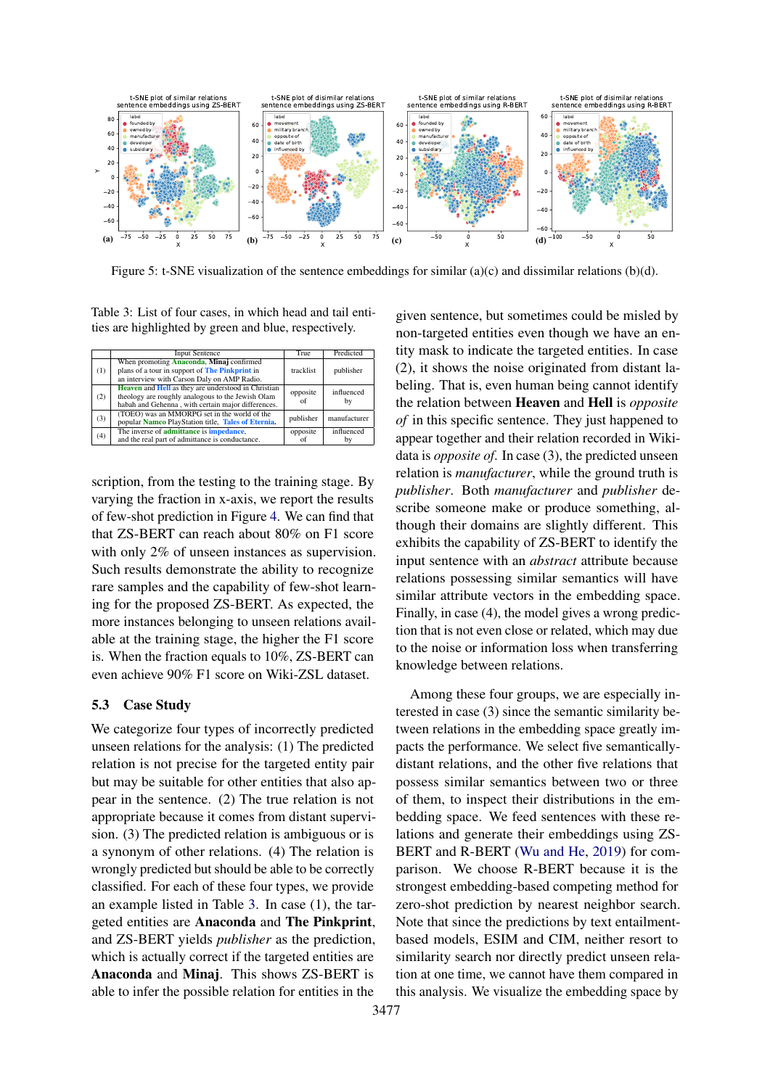<span id="page-7-1"></span>

Figure 5: t-SNE visualization of the sentence embeddings for similar (a)(c) and dissimilar relations (b)(d).

<span id="page-7-0"></span>Table 3: List of four cases, in which head and tail entities are highlighted by green and blue, respectively.

|     | <b>Input Sentence</b>                                                                                                                                          | True           | Predicted        |
|-----|----------------------------------------------------------------------------------------------------------------------------------------------------------------|----------------|------------------|
| (1) | When promoting <b>Anaconda</b> , <b>Minaj</b> confirmed<br>plans of a tour in support of The Pinkprint in<br>an interview with Carson Daly on AMP Radio.       | tracklist      | publisher        |
| (2) | Heaven and Hell as they are understood in Christian<br>theology are roughly analogous to the Jewish Olam<br>habah and Gehenna, with certain major differences. | opposite<br>of | influenced<br>by |
| (3) | (TOEO) was an MMORPG set in the world of the<br>popular Namco PlayStation title, Tales of Eternia.                                                             | publisher      | manufacturer     |
| (4) | The inverse of <b>admittance</b> is <b>impedance</b> ,<br>and the real part of admittance is conductance.                                                      | opposite<br>of | influenced<br>by |

scription, from the testing to the training stage. By varying the fraction in x-axis, we report the results of few-shot prediction in Figure [4.](#page-6-1) We can find that that ZS-BERT can reach about 80% on F1 score with only 2% of unseen instances as supervision. Such results demonstrate the ability to recognize rare samples and the capability of few-shot learning for the proposed ZS-BERT. As expected, the more instances belonging to unseen relations available at the training stage, the higher the F1 score is. When the fraction equals to 10%, ZS-BERT can even achieve 90% F1 score on Wiki-ZSL dataset.

#### 5.3 Case Study

We categorize four types of incorrectly predicted unseen relations for the analysis: (1) The predicted relation is not precise for the targeted entity pair but may be suitable for other entities that also appear in the sentence. (2) The true relation is not appropriate because it comes from distant supervision. (3) The predicted relation is ambiguous or is a synonym of other relations. (4) The relation is wrongly predicted but should be able to be correctly classified. For each of these four types, we provide an example listed in Table [3.](#page-7-0) In case (1), the targeted entities are Anaconda and The Pinkprint, and ZS-BERT yields *publisher* as the prediction, which is actually correct if the targeted entities are Anaconda and Minaj. This shows ZS-BERT is able to infer the possible relation for entities in the

given sentence, but sometimes could be misled by non-targeted entities even though we have an entity mask to indicate the targeted entities. In case (2), it shows the noise originated from distant labeling. That is, even human being cannot identify the relation between Heaven and Hell is *opposite of* in this specific sentence. They just happened to appear together and their relation recorded in Wikidata is *opposite of*. In case (3), the predicted unseen relation is *manufacturer*, while the ground truth is *publisher*. Both *manufacturer* and *publisher* describe someone make or produce something, although their domains are slightly different. This exhibits the capability of ZS-BERT to identify the input sentence with an *abstract* attribute because relations possessing similar semantics will have similar attribute vectors in the embedding space. Finally, in case (4), the model gives a wrong prediction that is not even close or related, which may due to the noise or information loss when transferring knowledge between relations.

Among these four groups, we are especially interested in case (3) since the semantic similarity between relations in the embedding space greatly impacts the performance. We select five semanticallydistant relations, and the other five relations that possess similar semantics between two or three of them, to inspect their distributions in the embedding space. We feed sentences with these relations and generate their embeddings using ZS-BERT and R-BERT [\(Wu and He,](#page-9-8) [2019\)](#page-9-8) for comparison. We choose R-BERT because it is the strongest embedding-based competing method for zero-shot prediction by nearest neighbor search. Note that since the predictions by text entailmentbased models, ESIM and CIM, neither resort to similarity search nor directly predict unseen relation at one time, we cannot have them compared in this analysis. We visualize the embedding space by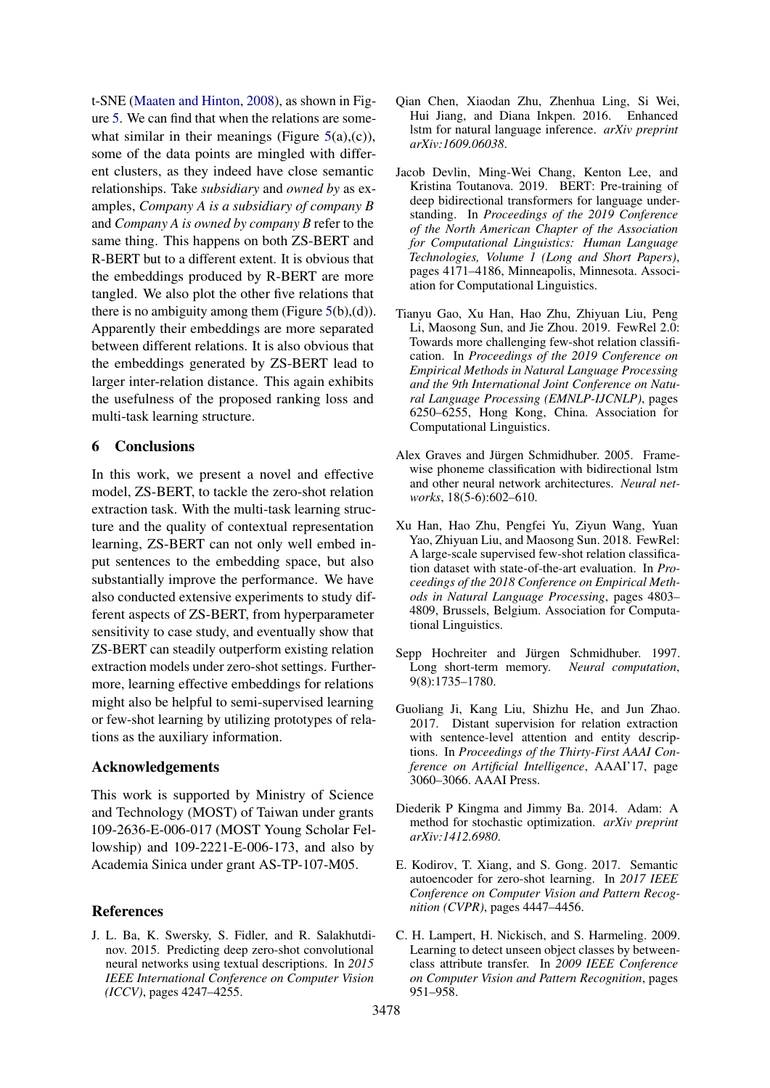t-SNE [\(Maaten and Hinton,](#page-9-16) [2008\)](#page-9-16), as shown in Figure [5.](#page-7-1) We can find that when the relations are somewhat similar in their meanings (Figure  $5(a)(c)$  $5(a)(c)$ ), some of the data points are mingled with different clusters, as they indeed have close semantic relationships. Take *subsidiary* and *owned by* as examples, *Company A is a subsidiary of company B* and *Company A is owned by company B* refer to the same thing. This happens on both ZS-BERT and R-BERT but to a different extent. It is obvious that the embeddings produced by R-BERT are more tangled. We also plot the other five relations that there is no ambiguity among them (Figure  $5(b)$  $5(b)$ , $(d)$ ). Apparently their embeddings are more separated between different relations. It is also obvious that the embeddings generated by ZS-BERT lead to larger inter-relation distance. This again exhibits the usefulness of the proposed ranking loss and multi-task learning structure.

## 6 Conclusions

In this work, we present a novel and effective model, ZS-BERT, to tackle the zero-shot relation extraction task. With the multi-task learning structure and the quality of contextual representation learning, ZS-BERT can not only well embed input sentences to the embedding space, but also substantially improve the performance. We have also conducted extensive experiments to study different aspects of ZS-BERT, from hyperparameter sensitivity to case study, and eventually show that ZS-BERT can steadily outperform existing relation extraction models under zero-shot settings. Furthermore, learning effective embeddings for relations might also be helpful to semi-supervised learning or few-shot learning by utilizing prototypes of relations as the auxiliary information.

### Acknowledgements

This work is supported by Ministry of Science and Technology (MOST) of Taiwan under grants 109-2636-E-006-017 (MOST Young Scholar Fellowship) and 109-2221-E-006-173, and also by Academia Sinica under grant AS-TP-107-M05.

## References

<span id="page-8-1"></span>J. L. Ba, K. Swersky, S. Fidler, and R. Salakhutdinov. 2015. Predicting deep zero-shot convolutional neural networks using textual descriptions. In *2015 IEEE International Conference on Computer Vision (ICCV)*, pages 4247–4255.

- <span id="page-8-6"></span>Qian Chen, Xiaodan Zhu, Zhenhua Ling, Si Wei, Hui Jiang, and Diana Inkpen. 2016. Enhanced lstm for natural language inference. *arXiv preprint arXiv:1609.06038*.
- <span id="page-8-4"></span>Jacob Devlin, Ming-Wei Chang, Kenton Lee, and Kristina Toutanova. 2019. BERT: Pre-training of deep bidirectional transformers for language understanding. In *Proceedings of the 2019 Conference of the North American Chapter of the Association for Computational Linguistics: Human Language Technologies, Volume 1 (Long and Short Papers)*, pages 4171–4186, Minneapolis, Minnesota. Association for Computational Linguistics.
- <span id="page-8-5"></span>Tianyu Gao, Xu Han, Hao Zhu, Zhiyuan Liu, Peng Li, Maosong Sun, and Jie Zhou. 2019. FewRel 2.0: Towards more challenging few-shot relation classification. In *Proceedings of the 2019 Conference on Empirical Methods in Natural Language Processing and the 9th International Joint Conference on Natural Language Processing (EMNLP-IJCNLP)*, pages 6250–6255, Hong Kong, China. Association for Computational Linguistics.
- <span id="page-8-10"></span>Alex Graves and Jürgen Schmidhuber. 2005. Framewise phoneme classification with bidirectional lstm and other neural network architectures. *Neural networks*, 18(5-6):602–610.
- <span id="page-8-7"></span>Xu Han, Hao Zhu, Pengfei Yu, Ziyun Wang, Yuan Yao, Zhiyuan Liu, and Maosong Sun. 2018. FewRel: A large-scale supervised few-shot relation classification dataset with state-of-the-art evaluation. In *Proceedings of the 2018 Conference on Empirical Methods in Natural Language Processing*, pages 4803– 4809, Brussels, Belgium. Association for Computational Linguistics.
- <span id="page-8-9"></span>Sepp Hochreiter and Jürgen Schmidhuber. 1997. Long short-term memory. *Neural computation*, 9(8):1735–1780.
- <span id="page-8-0"></span>Guoliang Ji, Kang Liu, Shizhu He, and Jun Zhao. 2017. Distant supervision for relation extraction with sentence-level attention and entity descriptions. In *Proceedings of the Thirty-First AAAI Conference on Artificial Intelligence*, AAAI'17, page 3060–3066. AAAI Press.
- <span id="page-8-8"></span>Diederik P Kingma and Jimmy Ba. 2014. Adam: A method for stochastic optimization. *arXiv preprint arXiv:1412.6980*.
- <span id="page-8-2"></span>E. Kodirov, T. Xiang, and S. Gong. 2017. Semantic autoencoder for zero-shot learning. In *2017 IEEE Conference on Computer Vision and Pattern Recognition (CVPR)*, pages 4447–4456.
- <span id="page-8-3"></span>C. H. Lampert, H. Nickisch, and S. Harmeling. 2009. Learning to detect unseen object classes by betweenclass attribute transfer. In *2009 IEEE Conference on Computer Vision and Pattern Recognition*, pages 951–958.